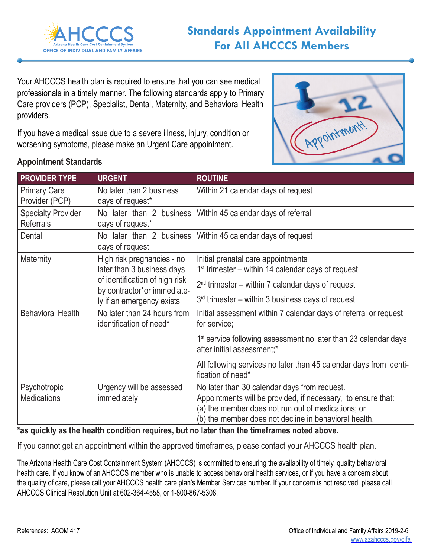

Your AHCCCS health plan is required to ensure that you can see medical professionals in a timely manner. The following standards apply to Primary Care providers (PCP), Specialist, Dental, Maternity, and Behavioral Health providers.

If you have a medical issue due to a severe illness, injury, condition or worsening symptoms, please make an Urgent Care appointment.



## **Appointment Standards**

| <b>PROVIDER TYPE</b>                          | <b>URGENT</b>                                                                                                                                          | <b>ROUTINE</b>                                                                                              |  |  |
|-----------------------------------------------|--------------------------------------------------------------------------------------------------------------------------------------------------------|-------------------------------------------------------------------------------------------------------------|--|--|
| <b>Primary Care</b><br>Provider (PCP)         | No later than 2 business<br>days of request*                                                                                                           | Within 21 calendar days of request                                                                          |  |  |
| <b>Specialty Provider</b><br><b>Referrals</b> | days of request*                                                                                                                                       | No later than 2 business   Within 45 calendar days of referral                                              |  |  |
| Dental                                        | days of request                                                                                                                                        | No later than 2 business   Within 45 calendar days of request                                               |  |  |
| Maternity                                     | High risk pregnancies - no<br>later than 3 business days<br>of identification of high risk<br>by contractor*or immediate-<br>ly if an emergency exists | Initial prenatal care appointments<br>$1st$ trimester – within 14 calendar days of request                  |  |  |
|                                               |                                                                                                                                                        | $2nd$ trimester – within 7 calendar days of request                                                         |  |  |
|                                               |                                                                                                                                                        | $3rd$ trimester – within 3 business days of request                                                         |  |  |
| <b>Behavioral Health</b>                      | No later than 24 hours from<br>identification of need*                                                                                                 | Initial assessment within 7 calendar days of referral or request<br>for service;                            |  |  |
|                                               |                                                                                                                                                        | 1 <sup>st</sup> service following assessment no later than 23 calendar days<br>after initial assessment;*   |  |  |
|                                               |                                                                                                                                                        | All following services no later than 45 calendar days from identi-<br>fication of need*                     |  |  |
| Psychotropic                                  | Urgency will be assessed<br>immediately                                                                                                                | No later than 30 calendar days from request.                                                                |  |  |
| <b>Medications</b>                            |                                                                                                                                                        | Appointments will be provided, if necessary, to ensure that:                                                |  |  |
|                                               |                                                                                                                                                        | (a) the member does not run out of medications; or<br>(b) the member does not decline in behavioral health. |  |  |
| .                                             | <b>ALC N</b><br><b>ARA 8</b>                                                                                                                           |                                                                                                             |  |  |

## **\*as quickly as the health condition requires, but no later than the timeframes noted above.**

If you cannot get an appointment within the approved timeframes, please contact your AHCCCS health plan.

The Arizona Health Care Cost Containment System (AHCCCS) is committed to ensuring the availability of timely, quality behavioral health care. If you know of an AHCCCS member who is unable to access behavioral health services, or if you have a concern about the quality of care, please call your AHCCCS health care plan's Member Services number. If your concern is not resolved, please call AHCCCS Clinical Resolution Unit at 602-364-4558, or 1-800-867-5308.